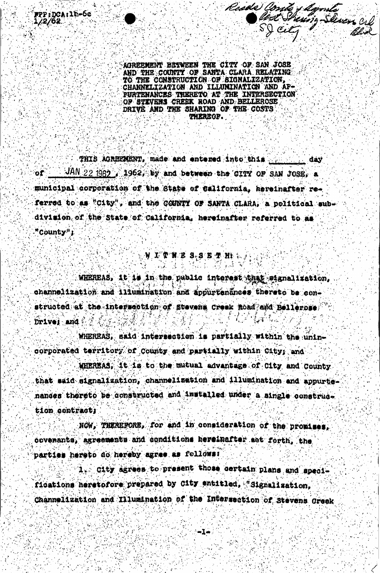AOREEMENT BETWEEN THE CITY OF SAN JOSE AND THE COUNTY OF SANTA CLARA RELATING TO THE CONSTRUCTION OF BIGNALIZATION, CHANNELIZATION AND ILLUNINATION AND AP-PURTENANCES THERETO AT THE INTERSECTION OF STIVENS CREEK ROAD AND BELLEROSE DRIVE AND THE SHARING OF THE COSTS **THEREOF.** 

Rosde Conte y dømte<br>Slød Skung-Sasens cill<br>SS Cily

THIS AGREEMENT, made and entered into this present day  $-$  JAN 22 1962  $-$  1962, by and between the CITY OF SAN JOSE, a or∵ municipal corporation of the State of California, hereinafter referred to as "City", and the COUNTY OF SANTA CLARA, a political subdivision of the State of California, hereinafter referred to as "County";

. W 工 常 图 B S B 图 型 H L L

WHEREAS, it is in the public interest that signalization. channelization and illumination and appurtenances thereto be constructed at the intersection of Stevens Creek Road and Bellerose Drives and

WHEREAS, said intersection is partially within the unincorporated territory of County and partially within City; and

WHEREAS, it is to the mutual advantage of City and County that said signalization, channelization and illumination and appurtenances thereto be constructed and installed under a single construct tion contract:

NOW, THEREPORE, for and in consideration of the promises. covenants, agreements and conditions hereinafter set forth, the parties hereto do hereby agree as follows:

1. City agrees to present those certain plans and specifications heretofore prepared by City entitled, "Signalization. Channelization and Illumination of the Intersection of Stevens Greek

≔l⇒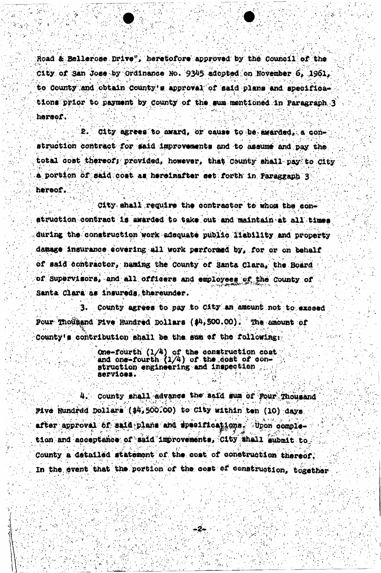Road & Bellerose Drive", heretofore approved by the Council of the City of San Jose by Ordinance No. 9345 adopted on November 6, 1961, to County and obtain County's approval of said plans and specifications prior to payment by County of the sum mentioned in Paragraph 3 hersef.

City agrees to award, or cause to be awarded. a con-9. struction contract for said improvements and to assume and pay the total cost thereof; provided, however, that County shall pay to City a portion of said cost as hereinafter set forth in Paragraph 3 hereof.

City shall require the contractor to whom the conatruction contract is awarded to take out and maintain at all times during the construction work adequate public liability and property damage insurance covering all work performed by, for or on behalf of said contractor, naming the County of Santa Clara, the Board of Supervisors, and all officers and employees of the County of Santa Clara as insureds, thereunder.

County agrees to pay to City an amount not to exceed Four Thousand Five Hundred Bollars (\$4,500.00). The amount of County's contribution shall be the sum of the following:

> One-fourth  $(1/4)$  of the construction cost<br>and one-fourth  $(1/4)$  of the cost of construction engineering and inspection RATUICAS.

4. County shall advance the said sum of Four Thousand Pive Hundred Dollars (\$4,500.00) to City within ten (10) days after approval of said plans and specifications. Upon completion and acceptance of said improvements, City shall submit to County a detailed statement of the cost of construction thereof. In the event that the portion of the cost of construction, together

-2-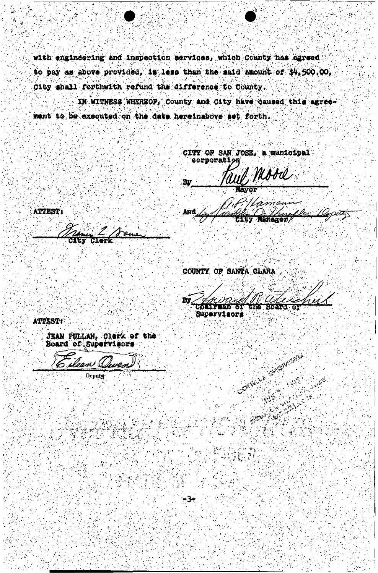with engineering and inspection services, which County has agreed to pay as above provided, is less than the said amount of \$4,500.00. City shall forthwith refund the difference to County.

IN WITNESS WHEREOF, County and City have caused this agreement to be executed on the date hereinabove set forth.

CITY OF SAN JOSE, a municipal oorporati yd, Mood **By LAVOR** riman And Uer

**AND ROE** 

**ATTEST:** 

COUNTY OF SANTA CLARA

By trei Charpens of **GREE SORETLE** 

CALLARY

**WARRANTED BASE** 

**Supervisors** 

-34

ATTEST:

**JEAN PULLAN, Clerk of the<br>Board of Supervisors** 

ileen ( uven

**Deputy**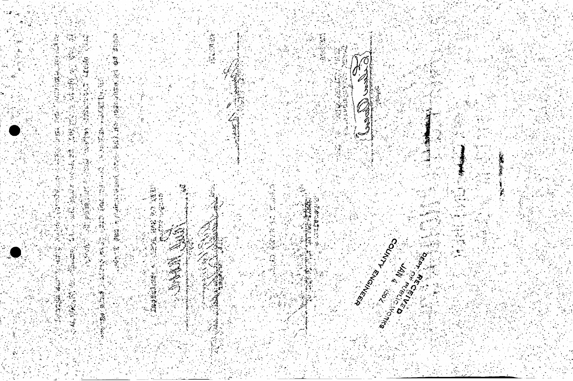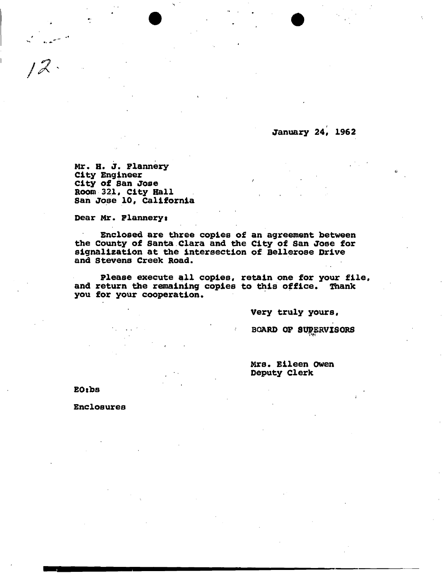**January** *24,* **1962** 

**M r , H . J . Plarmery City Engineer**  City of San Jose **Room 321, City Hall San Jose 10, California** 

**Dear Mr . Flannerys** 

**Enclosed are three copies of an agreement between the County of Santa Clara and the City of San Jose for signalization at the intersection of Bellerose Drive and Stevens Creek Road.** 

Please execute all copies, retain one for your file, **and return the remaining copies to this office. Thank you for your cooperation.** 

**Very truly yours,** 

**BOARD OP SUPERVISORS** 

**Mrs. Eileen Owen Deputy Clerk** 

**EOtbs** 

 $12.$ 

**Enclosures**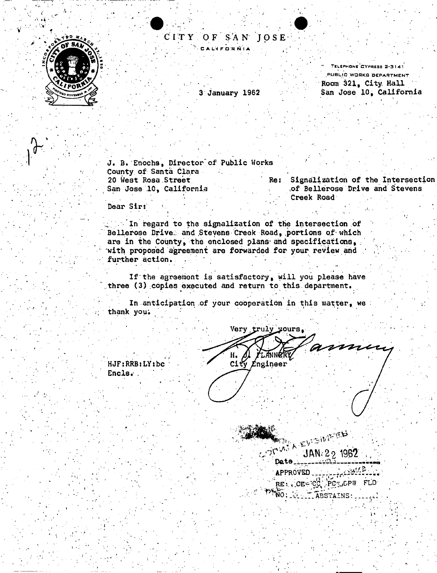

CIT Y O F S A N JOS E CALIFORNIA

3 January 1962

" Telephone CYpress 2-3 141 PUBLIC WORKS DEPARTMENT Room 321, City. Hall San Jose 10, California

J. B. Enochs, Director of Public Works County of Santa Clara<br>20 West Rosa Street San Jose 10, California , G. C. A. G. A. G. A. G. C. A. G. A. G. A. G. A. G. A. G. A. G. A. G. A. G. A. G. A. G

Re: Signalization of the Intersection Creek Road , and the state of the state of the state  $\mathcal{L}_\mathcal{P}$  , and the state of the state of the state  $\mathcal{L}_\mathcal{P}$ 

Dear Sir:

HJFifcRBiLYjbc

Encls.

1140.00

In regard to the signalization of the intersection of Bellerose Drive; and Stevens Creek Road, portions of which are in the County, the enclosed plans and specifications, with proposed agreement are forwarded for your review and further action.

If the agreement is satisfactory, will you please have three (3) copies executed and return to this department.

In anticipation of your cooperation in this matter, we thank you.

Very truly^ours, ammen *LANNERT* н. H. AL FLANNER<br>City Engineer

**KONG A CUIDENTELY** JAN: 2<sub>2</sub> 1962<br>Date • APPROVED •  $\sim$   $\epsilon$   $\epsilon$   $\sim$   $\epsilon$   $\epsilon$   $\sim$   $\epsilon$   $\epsilon$   $\sim$   $\epsilon$   $\epsilon$ Ĭ. WO: TELL ABSTAINS:  $\mathcal{L}^{\infty}$  . As a set of the set of the set of the set of the set of the set of the set of the set of the set of the set of the set of the set of the set of the set of the set of the set of the set of the set of the se

1 «